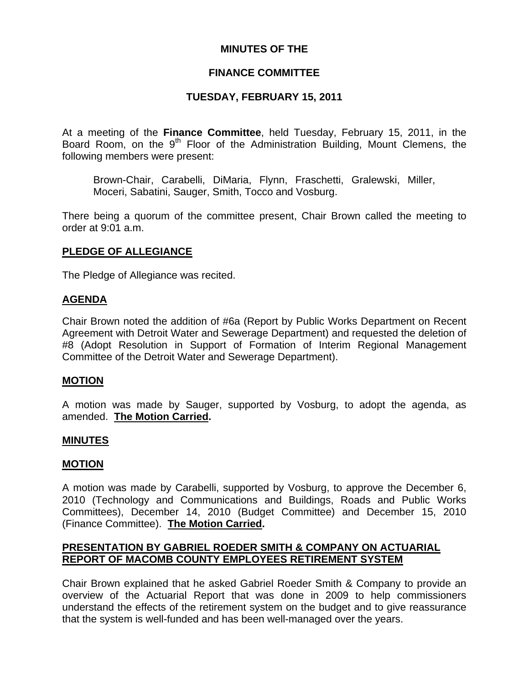### **MINUTES OF THE**

### **FINANCE COMMITTEE**

### **TUESDAY, FEBRUARY 15, 2011**

At a meeting of the **Finance Committee**, held Tuesday, February 15, 2011, in the Board Room, on the  $9<sup>th</sup>$  Floor of the Administration Building, Mount Clemens, the following members were present:

Brown-Chair, Carabelli, DiMaria, Flynn, Fraschetti, Gralewski, Miller, Moceri, Sabatini, Sauger, Smith, Tocco and Vosburg.

There being a quorum of the committee present, Chair Brown called the meeting to order at 9:01 a.m.

### **PLEDGE OF ALLEGIANCE**

The Pledge of Allegiance was recited.

#### **AGENDA**

Chair Brown noted the addition of #6a (Report by Public Works Department on Recent Agreement with Detroit Water and Sewerage Department) and requested the deletion of #8 (Adopt Resolution in Support of Formation of Interim Regional Management Committee of the Detroit Water and Sewerage Department).

#### **MOTION**

A motion was made by Sauger, supported by Vosburg, to adopt the agenda, as amended. **The Motion Carried.** 

#### **MINUTES**

#### **MOTION**

A motion was made by Carabelli, supported by Vosburg, to approve the December 6, 2010 (Technology and Communications and Buildings, Roads and Public Works Committees), December 14, 2010 (Budget Committee) and December 15, 2010 (Finance Committee). **The Motion Carried.** 

### **PRESENTATION BY GABRIEL ROEDER SMITH & COMPANY ON ACTUARIAL REPORT OF MACOMB COUNTY EMPLOYEES RETIREMENT SYSTEM**

Chair Brown explained that he asked Gabriel Roeder Smith & Company to provide an overview of the Actuarial Report that was done in 2009 to help commissioners understand the effects of the retirement system on the budget and to give reassurance that the system is well-funded and has been well-managed over the years.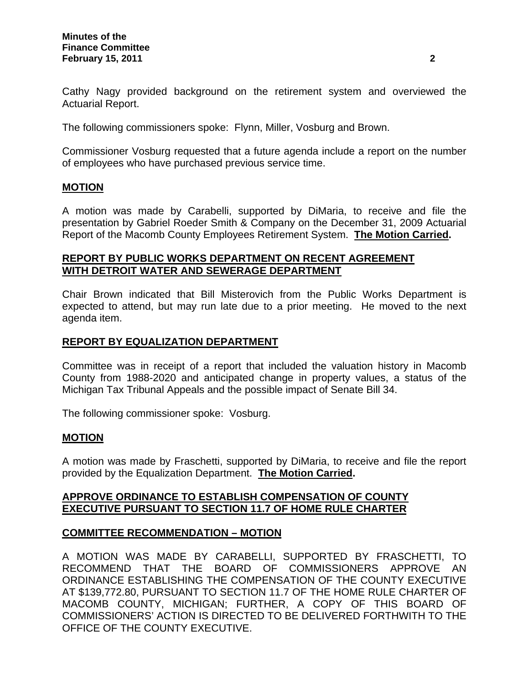Cathy Nagy provided background on the retirement system and overviewed the Actuarial Report.

The following commissioners spoke: Flynn, Miller, Vosburg and Brown.

Commissioner Vosburg requested that a future agenda include a report on the number of employees who have purchased previous service time.

#### **MOTION**

A motion was made by Carabelli, supported by DiMaria, to receive and file the presentation by Gabriel Roeder Smith & Company on the December 31, 2009 Actuarial Report of the Macomb County Employees Retirement System. **The Motion Carried.** 

### **REPORT BY PUBLIC WORKS DEPARTMENT ON RECENT AGREEMENT WITH DETROIT WATER AND SEWERAGE DEPARTMENT**

Chair Brown indicated that Bill Misterovich from the Public Works Department is expected to attend, but may run late due to a prior meeting. He moved to the next agenda item.

#### **REPORT BY EQUALIZATION DEPARTMENT**

Committee was in receipt of a report that included the valuation history in Macomb County from 1988-2020 and anticipated change in property values, a status of the Michigan Tax Tribunal Appeals and the possible impact of Senate Bill 34.

The following commissioner spoke: Vosburg.

#### **MOTION**

A motion was made by Fraschetti, supported by DiMaria, to receive and file the report provided by the Equalization Department. **The Motion Carried.** 

### **APPROVE ORDINANCE TO ESTABLISH COMPENSATION OF COUNTY EXECUTIVE PURSUANT TO SECTION 11.7 OF HOME RULE CHARTER**

#### **COMMITTEE RECOMMENDATION – MOTION**

A MOTION WAS MADE BY CARABELLI, SUPPORTED BY FRASCHETTI, TO RECOMMEND THAT THE BOARD OF COMMISSIONERS APPROVE AN ORDINANCE ESTABLISHING THE COMPENSATION OF THE COUNTY EXECUTIVE AT \$139,772.80, PURSUANT TO SECTION 11.7 OF THE HOME RULE CHARTER OF MACOMB COUNTY, MICHIGAN; FURTHER, A COPY OF THIS BOARD OF COMMISSIONERS' ACTION IS DIRECTED TO BE DELIVERED FORTHWITH TO THE OFFICE OF THE COUNTY EXECUTIVE.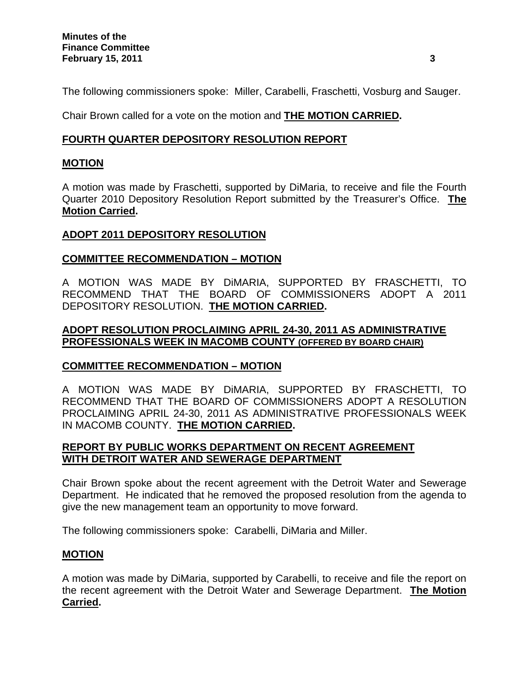The following commissioners spoke: Miller, Carabelli, Fraschetti, Vosburg and Sauger.

Chair Brown called for a vote on the motion and **THE MOTION CARRIED.** 

# **FOURTH QUARTER DEPOSITORY RESOLUTION REPORT**

## **MOTION**

A motion was made by Fraschetti, supported by DiMaria, to receive and file the Fourth Quarter 2010 Depository Resolution Report submitted by the Treasurer's Office. **The Motion Carried.**

## **ADOPT 2011 DEPOSITORY RESOLUTION**

### **COMMITTEE RECOMMENDATION – MOTION**

A MOTION WAS MADE BY DiMARIA, SUPPORTED BY FRASCHETTI, TO RECOMMEND THAT THE BOARD OF COMMISSIONERS ADOPT A 2011 DEPOSITORY RESOLUTION. **THE MOTION CARRIED.** 

### **ADOPT RESOLUTION PROCLAIMING APRIL 24-30, 2011 AS ADMINISTRATIVE PROFESSIONALS WEEK IN MACOMB COUNTY (OFFERED BY BOARD CHAIR)**

# **COMMITTEE RECOMMENDATION – MOTION**

A MOTION WAS MADE BY DiMARIA, SUPPORTED BY FRASCHETTI, TO RECOMMEND THAT THE BOARD OF COMMISSIONERS ADOPT A RESOLUTION PROCLAIMING APRIL 24-30, 2011 AS ADMINISTRATIVE PROFESSIONALS WEEK IN MACOMB COUNTY. **THE MOTION CARRIED.** 

## **REPORT BY PUBLIC WORKS DEPARTMENT ON RECENT AGREEMENT WITH DETROIT WATER AND SEWERAGE DEPARTMENT**

Chair Brown spoke about the recent agreement with the Detroit Water and Sewerage Department. He indicated that he removed the proposed resolution from the agenda to give the new management team an opportunity to move forward.

The following commissioners spoke: Carabelli, DiMaria and Miller.

### **MOTION**

A motion was made by DiMaria, supported by Carabelli, to receive and file the report on the recent agreement with the Detroit Water and Sewerage Department. **The Motion Carried.**